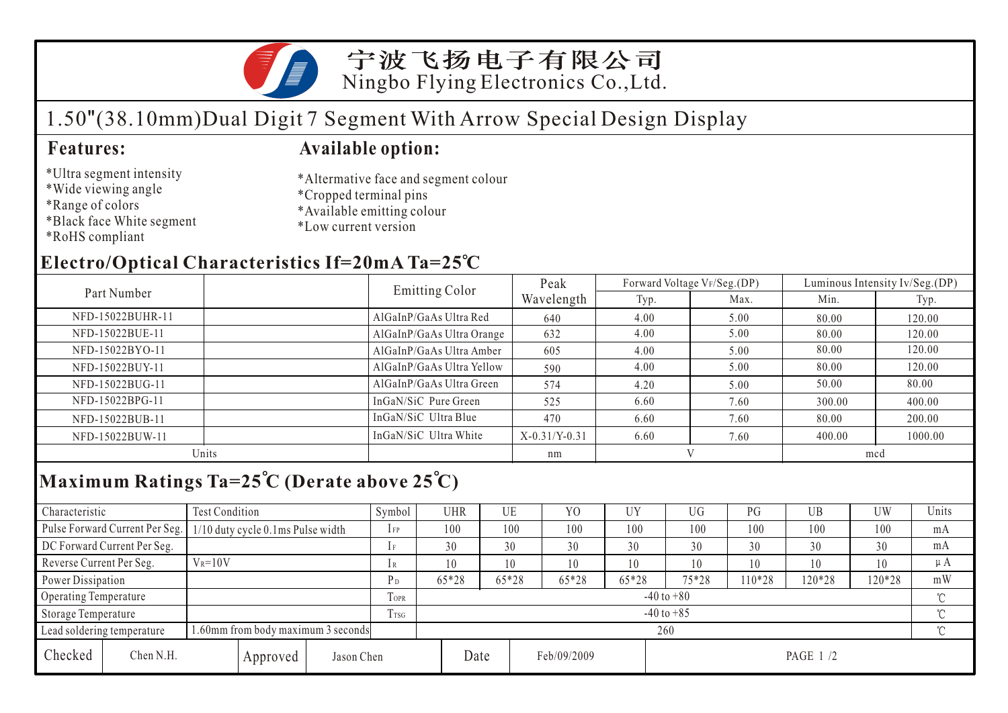

# 1.50"(38.10mm)Dual Digit 7 Segment With Arrow Special Design Display

### **Features: Available option:**

\*Ultra segment intensity \*Wide viewing angle

\*Black face White segment

- \*Altermative face and segment colour \*Cropped terminal pins
- \*Available emitting colour
- \*Low current version

\*RoHS compliant

\*Range of colors

## **Electro/Optical Characteristics If=20mA Ta=25 C**

|                  |  | Emitting Color            | Peak            |      | Forward Voltage VF/Seg.(DP) | Luminous Intensity Iv/Seg.(DP) |         |  |
|------------------|--|---------------------------|-----------------|------|-----------------------------|--------------------------------|---------|--|
| Part Number      |  |                           | Wavelength      | Typ. | Max.                        | Min.                           | Typ.    |  |
| NFD-15022BUHR-11 |  | AlGaInP/GaAs Ultra Red    | 640             | 4.00 | 5.00                        | 80.00                          | 120.00  |  |
| NFD-15022BUE-11  |  | AlGaInP/GaAs Ultra Orange | 632             | 4.00 | 5.00                        | 80.00                          | 120.00  |  |
| NFD-15022BYO-11  |  | AlGaInP/GaAs Ultra Amber  | 605             | 4.00 | 5.00                        | 80.00                          | 120.00  |  |
| NFD-15022BUY-11  |  | AlGaInP/GaAs Ultra Yellow | 590             | 4.00 | 5.00                        | 80.00                          | 120.00  |  |
| NFD-15022BUG-11  |  | AlGaInP/GaAs Ultra Green  | 574             | 4.20 | 5.00                        | 50.00                          | 80.00   |  |
| NFD-15022BPG-11  |  | InGaN/SiC Pure Green      | 525             | 6.60 | 7.60                        | 300.00                         | 400.00  |  |
| NFD-15022BUB-11  |  | InGaN/SiC Ultra Blue      | 470             | 6.60 | 7.60                        | 80.00                          | 200.00  |  |
| NFD-15022BUW-11  |  | InGaN/SiC Ultra White     | $X-0.31/Y-0.31$ | 6.60 | 7.60                        | 400.00                         | 1000.00 |  |
| Units            |  |                           | nm              |      |                             | mcd                            |         |  |
|                  |  |                           |                 |      |                             |                                |         |  |

## **Maximum Ratings Ta=25 C (Derate above 25 C)**

| Characteristic                                                  |                                | <b>Test Condition</b>             |          |                | Symbol         | <b>UHR</b> | UE    |             | Y <sub>0</sub> | UY      | <b>UG</b> | PG     | UB         | UW  | Units   |
|-----------------------------------------------------------------|--------------------------------|-----------------------------------|----------|----------------|----------------|------------|-------|-------------|----------------|---------|-----------|--------|------------|-----|---------|
|                                                                 | Pulse Forward Current Per Seg. | 1/10 duty cycle 0.1ms Pulse width |          |                | $1$ FP         | 100        |       | 100         | 100            | 100     | 100       | 100    | 100        | 100 | mA      |
| DC Forward Current Per Seg.                                     |                                |                                   |          | 1F             | 30             | 30         |       | 30          | 30             | 30      | 30        | 30     | 30         | mA  |         |
| Reverse Current Per Seg.                                        |                                | $V_R = 10V$                       |          |                | 1 R            | 10         | 10    |             | 10             | 10      | 10        | 10     | 10         | 10  | $\mu A$ |
| Power Dissipation                                               |                                |                                   | $P_D$    | $65*28$        | 65*28          |            | 65*28 | $65*28$     | 75*28          | $10*28$ | 120*28    | 120*28 | mW         |     |         |
| <b>Operating Temperature</b>                                    |                                |                                   |          | <b>TOPR</b>    | $-40$ to $+80$ |            |       |             |                |         |           |        |            |     |         |
| Storage Temperature                                             |                                |                                   | Trsg     | $-40$ to $+85$ |                |            |       |             |                |         |           |        | $^{\circ}$ |     |         |
| .60mm from body maximum 3 seconds<br>Lead soldering temperature |                                |                                   |          | 260            |                |            |       |             |                |         |           |        |            |     |         |
| Checked                                                         | Chen N.H.                      |                                   | Approved | Jason Chen     |                |            | Date  | Feb/09/2009 |                |         | PAGE 1/2  |        |            |     |         |